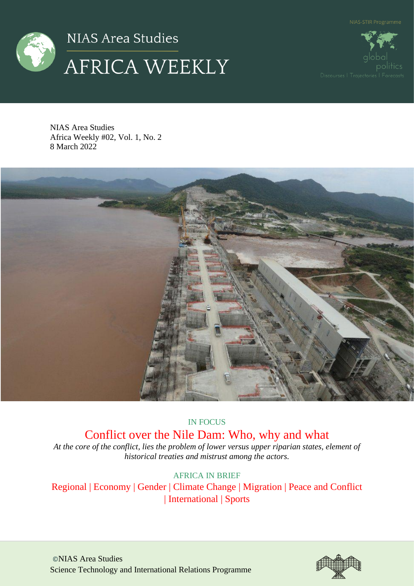



nolitics

NIAS Area Studies Africa Weekly #02, Vol. 1, No. 2 8 March 2022



# IN FOCUS

# Conflict over the Nile Dam: Who, why and what

*At the core of the conflict, lies the problem of lower versus upper riparian states, element of historical treaties and mistrust among the actors.*

AFRICA IN BRIEF

Regional | Economy | Gender | Climate Change | Migration | Peace and Conflict | International | Sports

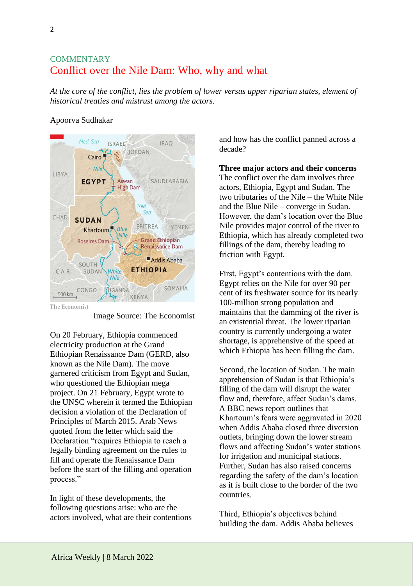# **COMMENTARY** Conflict over the Nile Dam: Who, why and what

*At the core of the conflict, lies the problem of lower versus upper riparian states, element of historical treaties and mistrust among the actors.*

# Apoorva Sudhakar



Image Source: The Economist

On 20 February, Ethiopia commenced electricity production at the Grand Ethiopian Renaissance Dam (GERD, also known as the Nile Dam). The move garnered criticism from Egypt and Sudan, who questioned the Ethiopian mega project. On 21 February, Egypt wrote to the UNSC wherein it termed the Ethiopian decision a violation of the Declaration of Principles of March 2015. Arab News quoted from the letter which said the Declaration "requires Ethiopia to reach a legally binding agreement on the rules to fill and operate the Renaissance Dam before the start of the filling and operation process."

In light of these developments, the following questions arise: who are the actors involved, what are their contentions and how has the conflict panned across a decade?

**Three major actors and their concerns** The conflict over the dam involves three actors, Ethiopia, Egypt and Sudan. The two tributaries of the Nile – the White Nile and the Blue Nile – converge in Sudan. However, the dam's location over the Blue Nile provides major control of the river to Ethiopia, which has already completed two fillings of the dam, thereby leading to friction with Egypt.

First, Egypt's contentions with the dam. Egypt relies on the Nile for over 90 per cent of its freshwater source for its nearly 100-million strong population and maintains that the damming of the river is an existential threat. The lower riparian country is currently undergoing a water shortage, is apprehensive of the speed at which Ethiopia has been filling the dam.

Second, the location of Sudan. The main apprehension of Sudan is that Ethiopia's filling of the dam will disrupt the water flow and, therefore, affect Sudan's dams. A BBC news report outlines that Khartoum's fears were aggravated in 2020 when Addis Ababa closed three diversion outlets, bringing down the lower stream flows and affecting Sudan's water stations for irrigation and municipal stations. Further, Sudan has also raised concerns regarding the safety of the dam's location as it is built close to the border of the two countries.

Third, Ethiopia's objectives behind building the dam. Addis Ababa believes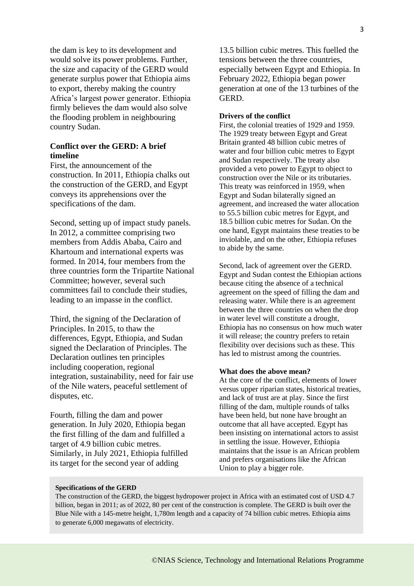the dam is key to its development and would solve its power problems. Further, the size and capacity of the GERD would generate surplus power that Ethiopia aims to export, thereby making the country Africa's largest power generator. Ethiopia firmly believes the dam would also solve the flooding problem in neighbouring country Sudan.

# **Conflict over the GERD: A brief timeline**

First, the announcement of the construction. In 2011, Ethiopia chalks out the construction of the GERD, and Egypt conveys its apprehensions over the specifications of the dam.

Second, setting up of impact study panels. In 2012, a committee comprising two members from Addis Ababa, Cairo and Khartoum and international experts was formed. In 2014, four members from the three countries form the Tripartite National Committee; however, several such committees fail to conclude their studies, leading to an impasse in the conflict.

Third, the signing of the Declaration of Principles. In 2015, to thaw the differences, Egypt, Ethiopia, and Sudan signed the Declaration of Principles. The Declaration outlines ten principles including cooperation, regional integration, sustainability, need for fair use of the Nile waters, peaceful settlement of disputes, etc.

Fourth, filling the dam and power generation. In July 2020, Ethiopia began the first filling of the dam and fulfilled a target of 4.9 billion cubic metres. Similarly, in July 2021, Ethiopia fulfilled its target for the second year of adding

13.5 billion cubic metres. This fuelled the tensions between the three countries, especially between Egypt and Ethiopia. In February 2022, Ethiopia began power generation at one of the 13 turbines of the GERD.

#### **Drivers of the conflict**

First, the colonial treaties of 1929 and 1959. The 1929 treaty between Egypt and Great Britain granted 48 billion cubic metres of water and four billion cubic metres to Egypt and Sudan respectively. The treaty also provided a veto power to Egypt to object to construction over the Nile or its tributaries. This treaty was reinforced in 1959, when Egypt and Sudan bilaterally signed an agreement, and increased the water allocation to 55.5 billion cubic metres for Egypt, and 18.5 billion cubic metres for Sudan. On the one hand, Egypt maintains these treaties to be inviolable, and on the other, Ethiopia refuses to abide by the same.

Second, lack of agreement over the GERD. Egypt and Sudan contest the Ethiopian actions because citing the absence of a technical agreement on the speed of filling the dam and releasing water. While there is an agreement between the three countries on when the drop in water level will constitute a drought, Ethiopia has no consensus on how much water it will release; the country prefers to retain flexibility over decisions such as these. This has led to mistrust among the countries.

#### **What does the above mean?**

At the core of the conflict, elements of lower versus upper riparian states, historical treaties, and lack of trust are at play. Since the first filling of the dam, multiple rounds of talks have been held, but none have brought an outcome that all have accepted. Egypt has been insisting on international actors to assist in settling the issue. However, Ethiopia maintains that the issue is an African problem and prefers organisations like the African Union to play a bigger role.

#### **Specifications of the GERD**

The construction of the GERD, the biggest hydropower project in Africa with an estimated cost of USD 4.7 billion, began in 2011; as of 2022, 80 per cent of the construction is complete. The GERD is built over the Blue Nile with a 145-metre height, 1,780m length and a capacity of 74 billion cubic metres. Ethiopia aims to generate 6,000 megawatts of electricity.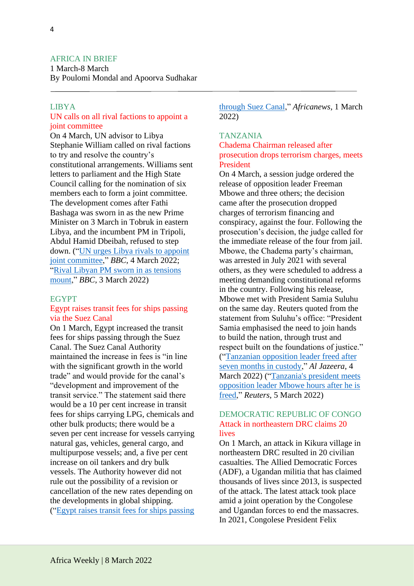## AFRICA IN BRIEF

1 March-8 March By Poulomi Mondal and Apoorva Sudhakar

## LIBYA

## UN calls on all rival factions to appoint a joint committee

On 4 March, UN advisor to Libya Stephanie William called on rival factions to try and resolve the country's constitutional arrangements. Williams sent letters to parliament and the High State Council calling for the nomination of six members each to form a joint committee. The development comes after Fathi Bashaga was sworn in as the new Prime Minister on 3 March in Tobruk in eastern Libya, and the incumbent PM in Tripoli, Abdul Hamid Dbeibah, refused to step down. (["UN urges Libya rivals to appoint](https://www.bbc.com/news/live/world-africa-60392223?ns_mchannel=social&ns_source=twitter&ns_campaign=bbc_live&ns_linkname=622200cbec502b53cd480a8c%26UN%20urges%20Libya%20rivals%20to%20appoint%20joint%20committee%262022-03-04T13%3A01%3A52.641Z&ns_fee=0&pinned_post_locator=urn:asset:fbb229ed-29e7-4db4-8e31-f069e48f57dc&pinned_post_asset_id=622200cbec502b53cd480a8c&pinned_post_type=share)  [joint committee,](https://www.bbc.com/news/live/world-africa-60392223?ns_mchannel=social&ns_source=twitter&ns_campaign=bbc_live&ns_linkname=622200cbec502b53cd480a8c%26UN%20urges%20Libya%20rivals%20to%20appoint%20joint%20committee%262022-03-04T13%3A01%3A52.641Z&ns_fee=0&pinned_post_locator=urn:asset:fbb229ed-29e7-4db4-8e31-f069e48f57dc&pinned_post_asset_id=622200cbec502b53cd480a8c&pinned_post_type=share)" *BBC*, 4 March 2022; ["Rival Libyan PM sworn in as tensions](https://www.bbc.com/news/live/world-africa-60392223?ns_mchannel=social&ns_source=twitter&ns_campaign=bbc_live&ns_linkname=6220e9f8ec502b53cd48091a%26Rival%20Libyan%20PM%20sworn%20in%20as%20tensions%20mount%262022-03-03T16%3A25%3A56%2B00%3A00&ns_fee=0&pinned_post_locator=urn:asset:e1434449-0ce1-40d4-a160-b2450639edff&pinned_post_asset_id=6220e9f8ec502b53cd48091a&pinned_post_type=share)  [mount,](https://www.bbc.com/news/live/world-africa-60392223?ns_mchannel=social&ns_source=twitter&ns_campaign=bbc_live&ns_linkname=6220e9f8ec502b53cd48091a%26Rival%20Libyan%20PM%20sworn%20in%20as%20tensions%20mount%262022-03-03T16%3A25%3A56%2B00%3A00&ns_fee=0&pinned_post_locator=urn:asset:e1434449-0ce1-40d4-a160-b2450639edff&pinned_post_asset_id=6220e9f8ec502b53cd48091a&pinned_post_type=share)" *BBC*, 3 March 2022)

#### EGYPT

## Egypt raises transit fees for ships passing via the Suez Canal

On 1 March, Egypt increased the transit fees for ships passing through the Suez Canal. The Suez Canal Authority maintained the increase in fees is "in line with the significant growth in the world trade" and would provide for the canal's "development and improvement of the transit service." The statement said there would be a 10 per cent increase in transit fees for ships carrying LPG, chemicals and other bulk products; there would be a seven per cent increase for vessels carrying natural gas, vehicles, general cargo, and multipurpose vessels; and, a five per cent increase on oil tankers and dry bulk vessels. The Authority however did not rule out the possibility of a revision or cancellation of the new rates depending on the developments in global shipping. (["Egypt raises transit fees for ships passing](https://www.africanews.com/2022/03/01/egypt-raises-transit-fees-for-ships-passing-through-suez-canal/) 

[through Suez Canal,](https://www.africanews.com/2022/03/01/egypt-raises-transit-fees-for-ships-passing-through-suez-canal/)" *Africanews,* 1 March 2022)

# TANZANIA

# Chadema Chairman released after prosecution drops terrorism charges, meets President

On 4 March, a session judge ordered the release of opposition leader Freeman Mbowe and three others; the decision came after the prosecution dropped charges of terrorism financing and conspiracy, against the four. Following the prosecution's decision, the judge called for the immediate release of the four from jail. Mbowe, the Chadema party's chairman, was arrested in July 2021 with several others, as they were scheduled to address a meeting demanding constitutional reforms in the country. Following his release, Mbowe met with President Samia Suluhu on the same day. Reuters quoted from the statement from Suluhu's office: "President Samia emphasised the need to join hands to build the nation, through trust and respect built on the foundations of justice." (["Tanzanian opposition leader freed after](https://www.aljazeera.com/news/2022/3/4/tanzanian-opposition-leader-freed-after-seven-months-in-custody)  [seven months in custody,](https://www.aljazeera.com/news/2022/3/4/tanzanian-opposition-leader-freed-after-seven-months-in-custody)" *Al Jazeera*, 4 March 2022) (["Tanzania's president meets](https://www.reuters.com/world/africa/tanzania-frees-detained-opposition-leader-mbowe-drops-charges-citizen-newspaper-2022-03-04/)  [opposition leader Mbowe hours after he is](https://www.reuters.com/world/africa/tanzania-frees-detained-opposition-leader-mbowe-drops-charges-citizen-newspaper-2022-03-04/)  [freed,](https://www.reuters.com/world/africa/tanzania-frees-detained-opposition-leader-mbowe-drops-charges-citizen-newspaper-2022-03-04/)" *Reuters*, 5 March 2022)

# DEMOCRATIC REPUBLIC OF CONGO Attack in northeastern DRC claims 20 lives

On 1 March, an attack in Kikura village in northeastern DRC resulted in 20 civilian casualties. The Allied Democratic Forces (ADF), a Ugandan militia that has claimed thousands of lives since 2013, is suspected of the attack. The latest attack took place amid a joint operation by the Congolese and Ugandan forces to end the massacres. In 2021, Congolese President Felix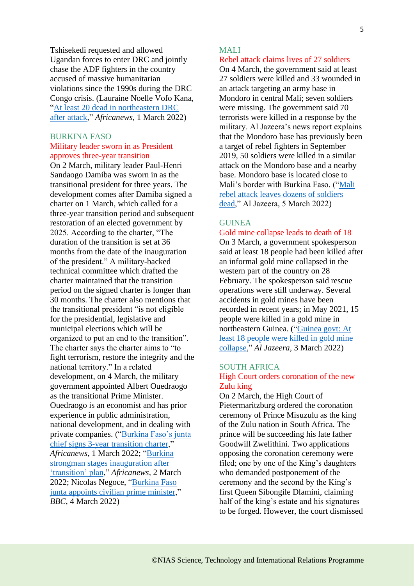Tshisekedi requested and allowed Ugandan forces to enter DRC and jointly chase the ADF fighters in the country accused of massive humanitarian violations since the 1990s during the DRC Congo crisis. (Lauraine Noelle Vofo Kana, ["At least 20 dead in northeastern DRC](https://www.africanews.com/2022/02/28/at-least-20-dead-in-northeastern-drc-after-attack/)  [after attack,](https://www.africanews.com/2022/02/28/at-least-20-dead-in-northeastern-drc-after-attack/)" *Africanews*, 1 March 2022)

#### BURKINA FASO

#### Military leader sworn in as President approves three-year transition

On 2 March, military leader Paul-Henri Sandaogo Damiba was sworn in as the transitional president for three years. The development comes after Damiba signed a charter on 1 March, which called for a three-year transition period and subsequent restoration of an elected government by 2025. According to the charter, "The duration of the transition is set at 36 months from the date of the inauguration of the president." A military-backed technical committee which drafted the charter maintained that the transition period on the signed charter is longer than 30 months. The charter also mentions that the transitional president "is not eligible for the presidential, legislative and municipal elections which will be organized to put an end to the transition". The charter says the charter aims to "to fight terrorism, restore the integrity and the national territory." In a related development, on 4 March, the military government appointed Albert Ouedraogo as the transitional Prime Minister. Ouedraogo is an economist and has prior experience in public administration, national development, and in dealing with private companies. (["Burkina Faso's junta](https://www.africanews.com/2022/03/01/burkina-faso-s-junta-chief-signs-3-year-transition-charter/)  [chief signs 3-year transition charter,](https://www.africanews.com/2022/03/01/burkina-faso-s-junta-chief-signs-3-year-transition-charter/)" *Africanews,* 1 March 2022; ["Burkina](https://www.africanews.com/2022/03/02/burkina-strongman-stages-inauguration-after-transition-plan/)  [strongman stages inauguration after](https://www.africanews.com/2022/03/02/burkina-strongman-stages-inauguration-after-transition-plan/)  ['transition' plan,](https://www.africanews.com/2022/03/02/burkina-strongman-stages-inauguration-after-transition-plan/)" *Africanews,* 2 March 2022; Nicolas Negoce, ["Burkina Faso](https://www.bbc.com/news/live/world-africa-60392223?ns_mchannel=social&ns_source=twitter&ns_campaign=bbc_live&ns_linkname=622195480ce87e491a0edfc9%26Burkina%20Faso%20junta%20appoints%20civilian%20prime%20minister%262022-03-04T06%3A12%3A19%2B00%3A00&ns_fee=0&pinned_post_locator=urn:asset:f38512f1-dd50-4de4-b456-67d669fa5999&pinned_post_asset_id=622195480ce87e491a0edfc9&pinned_post_type=share)  [junta appoints civilian prime minister,](https://www.bbc.com/news/live/world-africa-60392223?ns_mchannel=social&ns_source=twitter&ns_campaign=bbc_live&ns_linkname=622195480ce87e491a0edfc9%26Burkina%20Faso%20junta%20appoints%20civilian%20prime%20minister%262022-03-04T06%3A12%3A19%2B00%3A00&ns_fee=0&pinned_post_locator=urn:asset:f38512f1-dd50-4de4-b456-67d669fa5999&pinned_post_asset_id=622195480ce87e491a0edfc9&pinned_post_type=share)" *BBC*, 4 March 2022)

# MALI

#### Rebel attack claims lives of 27 soldiers

On 4 March, the government said at least 27 soldiers were killed and 33 wounded in an attack targeting an army base in Mondoro in central Mali; seven soldiers were missing. The government said 70 terrorists were killed in a response by the military. Al Jazeera's news report explains that the Mondoro base has previously been a target of rebel fighters in September 2019, 50 soldiers were killed in a similar attack on the Mondoro base and a nearby base. Mondoro base is located close to Mali's border with Burkina Faso. ("Mali [rebel attack leaves dozens of soldiers](https://www.aljazeera.com/news/2022/3/5/mali-rebel-attack-leaves-dozens-of-soldiers-dead)  [dead,](https://www.aljazeera.com/news/2022/3/5/mali-rebel-attack-leaves-dozens-of-soldiers-dead)" Al Jazeera, 5 March 2022)

## GUINEA

# Gold mine collapse leads to death of 18

On 3 March, a government spokesperson said at least 18 people had been killed after an informal gold mine collapsed in the western part of the country on 28 February. The spokesperson said rescue operations were still underway. Several accidents in gold mines have been recorded in recent years; in May 2021, 15 people were killed in a gold mine in northeastern Guinea. (["Guinea govt: At](https://www.aljazeera.com/news/2022/3/3/at-least-18-killed-in-gold-mine-collapse-in-guinea)  [least 18 people were killed in gold mine](https://www.aljazeera.com/news/2022/3/3/at-least-18-killed-in-gold-mine-collapse-in-guinea)  [collapse,](https://www.aljazeera.com/news/2022/3/3/at-least-18-killed-in-gold-mine-collapse-in-guinea)" *Al Jazeera,* 3 March 2022)

#### SOUTH AFRICA

## High Court orders coronation of the new Zulu king

On 2 March, the High Court of Pietermaritzburg ordered the coronation ceremony of Prince Misuzulu as the king of the Zulu nation in South Africa. The prince will be succeeding his late father Goodwill Zwelithini. Two applications opposing the coronation ceremony were filed; one by one of the King's daughters who demanded postponement of the ceremony and the second by the King's first Queen Sibongile Dlamini, claiming half of the king's estate and his signatures to be forged. However, the court dismissed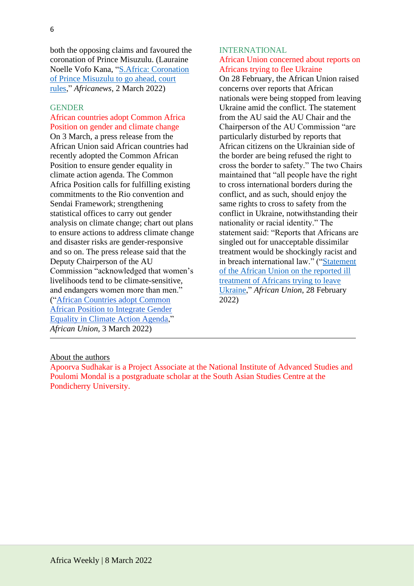both the opposing claims and favoured the coronation of Prince Misuzulu. (Lauraine Noelle Vofo Kana, ["S.Africa: Coronation](https://www.africanews.com/2022/03/02/s-africa-coronation-of-prince-misuzulu-to-go-ahead-court-rules/)  [of Prince Misuzulu to go ahead, court](https://www.africanews.com/2022/03/02/s-africa-coronation-of-prince-misuzulu-to-go-ahead-court-rules/)  [rules,](https://www.africanews.com/2022/03/02/s-africa-coronation-of-prince-misuzulu-to-go-ahead-court-rules/)" *Africanews,* 2 March 2022)

#### **GENDER**

African countries adopt Common Africa Position on gender and climate change On 3 March, a press release from the African Union said African countries had recently adopted the Common African Position to ensure gender equality in climate action agenda. The Common Africa Position calls for fulfilling existing commitments to the Rio convention and Sendai Framework; strengthening statistical offices to carry out gender analysis on climate change; chart out plans to ensure actions to address climate change and disaster risks are gender-responsive and so on. The press release said that the Deputy Chairperson of the AU Commission "acknowledged that women's livelihoods tend to be climate-sensitive, and endangers women more than men." (["African Countries adopt Common](https://au.int/en/pressreleases/20220303/african-countries-adopt-common-african-position-integrate-gender-equality)  [African Position to Integrate Gender](https://au.int/en/pressreleases/20220303/african-countries-adopt-common-african-position-integrate-gender-equality)  [Equality in Climate Action Agenda,](https://au.int/en/pressreleases/20220303/african-countries-adopt-common-african-position-integrate-gender-equality)" *African Union*, 3 March 2022)

## INTERNATIONAL African Union concerned about reports on Africans trying to flee Ukraine

On 28 February, the African Union raised concerns over reports that African nationals were being stopped from leaving Ukraine amid the conflict. The statement from the AU said the AU Chair and the Chairperson of the AU Commission "are particularly disturbed by reports that African citizens on the Ukrainian side of the border are being refused the right to cross the border to safety." The two Chairs maintained that "all people have the right to cross international borders during the conflict, and as such, should enjoy the same rights to cross to safety from the conflict in Ukraine, notwithstanding their nationality or racial identity." The statement said: "Reports that Africans are singled out for unacceptable dissimilar treatment would be shockingly racist and in breach international law." (["Statement](https://au.int/en/pressreleases/20220228/statement-ill-treatment-africans-trying-leave-ukraine)  [of the African Union on the reported ill](https://au.int/en/pressreleases/20220228/statement-ill-treatment-africans-trying-leave-ukraine)  [treatment of Africans trying to leave](https://au.int/en/pressreleases/20220228/statement-ill-treatment-africans-trying-leave-ukraine)  [Ukraine,](https://au.int/en/pressreleases/20220228/statement-ill-treatment-africans-trying-leave-ukraine)" *African Union*, 28 February 2022)

#### About the authors

Apoorva Sudhakar is a Project Associate at the National Institute of Advanced Studies and Poulomi Mondal is a postgraduate scholar at the South Asian Studies Centre at the Pondicherry University.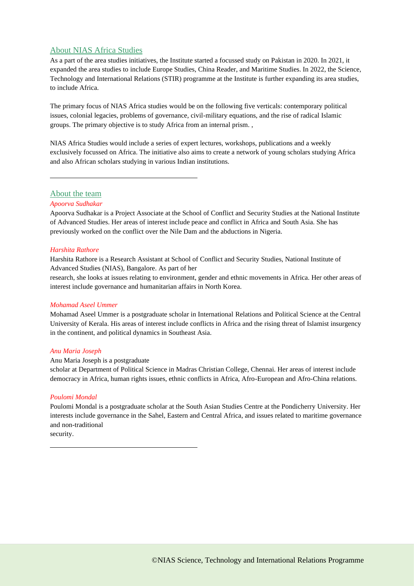#### About NIAS Africa Studies

As a part of the area studies initiatives, the Institute started a focussed study on Pakistan in 2020. In 2021, it expanded the area studies to include Europe Studies, China Reader, and Maritime Studies. In 2022, the Science, Technology and International Relations (STIR) programme at the Institute is further expanding its area studies, to include Africa.

The primary focus of NIAS Africa studies would be on the following five verticals: contemporary political issues, colonial legacies, problems of governance, civil-military equations, and the rise of radical Islamic groups. The primary objective is to study Africa from an internal prism. ,

NIAS Africa Studies would include a series of expert lectures, workshops, publications and a weekly exclusively focussed on Africa. The initiative also aims to create a network of young scholars studying Africa and also African scholars studying in various Indian institutions.

About the team

#### *Apoorva Sudhakar*

Apoorva Sudhakar is a Project Associate at the School of Conflict and Security Studies at the National Institute of Advanced Studies. Her areas of interest include peace and conflict in Africa and South Asia. She has previously worked on the conflict over the Nile Dam and the abductions in Nigeria.

#### *Harshita Rathore*

Harshita Rathore is a Research Assistant at School of Conflict and Security Studies, National Institute of Advanced Studies (NIAS), Bangalore. As part of her

research, she looks at issues relating to environment, gender and ethnic movements in Africa. Her other areas of interest include governance and humanitarian affairs in North Korea.

#### *Mohamad Aseel Ummer*

Mohamad Aseel Ummer is a postgraduate scholar in International Relations and Political Science at the Central University of Kerala. His areas of interest include conflicts in Africa and the rising threat of Islamist insurgency in the continent, and political dynamics in Southeast Asia.

#### *Anu Maria Joseph*

#### Anu Maria Joseph is a postgraduate

scholar at Department of Political Science in Madras Christian College, Chennai. Her areas of interest include democracy in Africa, human rights issues, ethnic conflicts in Africa, Afro-European and Afro-China relations.

#### *Poulomi Mondal*

Poulomi Mondal is a postgraduate scholar at the South Asian Studies Centre at the Pondicherry University. Her interests include governance in the Sahel, Eastern and Central Africa, and issues related to maritime governance and non-traditional

security.